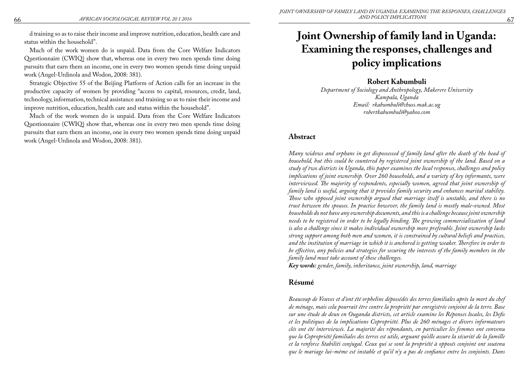# **Joint Ownership of family land in Uganda: Examining the responses, challenges and policy implications**

## **Robert Kabumbuli**

*Department of Sociology and Anthropology, Makerere University Kampala, Uganda Email: rkabumbuli@chuss.mak.ac.ug robertkabumbuli@yahoo.com*

## **Abstract**

*Many widows and orphans in get dispossessed of family land after the death of the head of household, but this could be countered by registered joint ownership of the land. Based on a study of two districts in Uganda, this paper examines the local responses, challenges and policy implications of joint ownership. Over 260 households, and a variety of key informants, were interviewed. The majority of respondents, especially women, agreed that joint ownership of family land is useful, arguing that it provides family security and enhances marital stability. Those who opposed joint ownership argued that marriage itself is unstable, and there is no trust between the spouses. In practice however, the family land is mostly male-owned. Most households do not have any ownership documents, and this is a challenge because joint ownership needs to be registered in order to be legally binding. The growing commercialization of land is also a challenge since it makes individual ownership more preferable. Joint ownership lacks strong support among both men and women, it is constrained by cultural beliefs and practices, and the institution of marriage in which it is anchored is getting weaker. Therefore in order to be effective, any policies and strategies for securing the interests of the family members in the family land must take account of these challenges.* 

*Key words: gender, family, inheritance, joint ownership, land, marriage*

# **Résumé**

*Beaucoup de Veuves et d'ont été orphelins dépossédés des terres familiales après la mort du chef de ménage, mais cela pourrait être contre la propriété par enregistrée conjoint de la terre. Base sur une étude de deux en Ouganda districts, cet article examine les Réponses locales, les Defis et les politiques de la implications Copropriété. Plus de 260 ménages et divers informateurs clés ont été interviewés. La majorité des répondants, en particulier les femmes ont convenu que la Copropriété familiales des terres est utile, arguant qu'elle assure la sécurité de la famille et la renforce Stabiliti conjugal. Ceux qui se sont la propriété à opposés conjoint ont soutenu que le mariage lui-même est instable et qu'il n'y a pas de confiance entre les conjoints. Dans*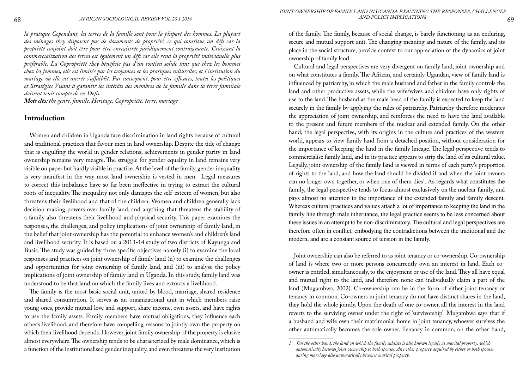*la pratique Cependant, les terres de la famille sont pour la plupart des hommes. La plupart des ménages they disposent pas de documents de propriété, ce qui constitue un défi car la propriété conjoint doit être pour être enregistrée juridiquement contraignante. Croissant la commercialization des terres est également un défi car elle rend la propriété individuelle plus préférable. La Copropriété they bénéficie pas d'un soutien solide tant que chez les hommes chez les femmes, elle est limitée par les croyances et les pratiques culturelles, et l'institution du mariage où elle est ancrée s'affaiblit. Par conséquent, pour être efficaces, toutes les politiques et Stratégies Visant à garantir les intérêts des membres de la famille dans la terre familiale doivent tenir compte de ces Defis.* 

*Mots clés: the genre, famille, Heritage, Copropriété, terre, mariage*

#### **Introduction**

Women and children in Uganda face discrimination in land rights because of cultural and traditional practices that favour men in land ownership. Despite the tide of change that is engulfing the world in gender relations, achievements in gender parity in land ownership remains very meagre. The struggle for gender equality in land remains very visible on paper but hardly visible in practice. At the level of the family, gender inequality is very manifest in the way most land ownership is vested in men. Legal measures to correct this imbalance have so far been ineffective in trying to extract the cultural roots of inequality. The inequality not only damages the self-esteem of women, but also threatens their livelihood and that of the children. Women and children generally lack decision making powers over family land, and anything that threatens the stability of a family also threatens their livelihood and physical security. This paper examines the responses, the challenges, and policy implications of joint ownership of family land, in the belief that joint ownership has the potential to enhance women's and children's land and livelihood security. It is based on a 2013-14 study of two districts of Kayunga and Busia. The study was guided by three specific objectives namely (i) to examine the local responses and practices on joint ownership of family land (ii) to examine the challenges and opportunities for joint ownership of family land, and (iii) to analyse the policy implications of joint ownership of family land in Uganda. In this study, family land was understood to be that land on which the family lives and extracts a livelihood.

The family is the most basic social unit, united by blood, marriage, shared residence and shared consumption. It serves as an organizational unit in which members raise young ones, provide mutual love and support, share income, own assets, and have rights to use the family assets. Family members have mutual obligations, they influence each other's livelihood, and therefore have compelling reasons to jointly own the property on which their livelihood depends. However, joint family ownership of the property is elusive almost everywhere. The ownership tends to be characterized by male dominance, which is a function of the institutionalised gender inequality, and even threatens the very institution of the family. The family, because of social change, is barely functioning as an enduring, secure and mutual support unit. The changing meaning and nature of the family, and its place in the social structure, provide context to our appreciation of the dynamics of joint ownership of family land.

Cultural and legal perspectives are very divergent on family land, joint ownership and on what constitutes a family. The African, and certainly Ugandan, view of family land is influenced by patriarchy, in which the male husband and father in the family controls the land and other productive assets, while the wife/wives and children have only rights of use to the land. The husband as the male head of the family is expected to keep the land securely in the family by applying the rules of patriarchy. Patriarchy therefore moderates the appreciation of joint ownership, and reinforces the need to have the land available to the present and future members of the nuclear and extended family. On the other hand, the legal perspective, with its origins in the culture and practices of the western world, appears to view family land from a detached position, without consideration for the importance of keeping the land in the family lineage. The legal perspective tends to commercialise family land, and in its practice appears to strip the land of its cultural value. Legally, joint ownership of the family land is viewed in terms of each party's proportion of rights to the land, and how the land should be divided if and when the joint owners can no longer own together, or when one of them dies<sup>1</sup>. As regards what constitutes the family, the legal perspective tends to focus almost exclusively on the nuclear family, and pays almost no attention to the importance of the extended family and family descent. Whereas cultural practices and values attach a lot of importance to keeping the land in the family line through male inheritance, the legal practice seems to be less concerned about these issues in an attempt to be non-discriminatory. The cultural and legal perspectives are therefore often in conflict, embodying the contradictions between the traditional and the modern, and are a constant source of tension in the family.

Joint ownership can also be referred to as joint tenancy or co-ownership. Co-ownership of land is where two or more persons concurrently own an interest in land. Each coowner is entitled, simultaneously, to the enjoyment or use of the land. They all have equal and mutual right to the land, and therefore none can individually claim a part of the land (Mugambwa, 2002). Co-ownership can be in the form of either joint tenancy or tenancy in common. Co-owners in joint tenancy do not have distinct shares in the land; they hold the whole jointly. Upon the death of one co-owner, all the interest in the land reverts to the surviving owner under the right of 'survivorship'. Mugambwa says that if a husband and wife own their matrimonial home in joint tenancy, whoever survives the other automatically becomes the sole owner. Tenancy in common, on the other hand,

*<sup>1</sup> On the other hand, the land on which the family subsists is also known legally as marital property, which automatically bestows joint ownership to both spouses. Any other property acquired by either or both spouses during marriage also automatically becomes marital property.*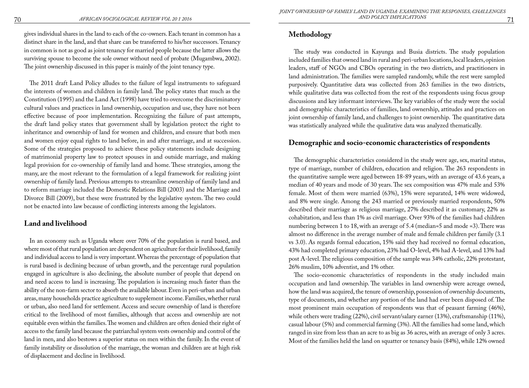gives individual shares in the land to each of the co-owners. Each tenant in common has a distinct share in the land, and that share can be transferred to his/her successors. Tenancy in common is not as good as joint tenancy for married people because the latter allows the surviving spouse to become the sole owner without need of probate (Mugambwa, 2002). The joint ownership discussed in this paper is mainly of the joint tenancy type.

The 2011 draft Land Policy alludes to the failure of legal instruments to safeguard the interests of women and children in family land. The policy states that much as the Constitution (1995) and the Land Act (1998) have tried to overcome the discriminatory cultural values and practices in land ownership, occupation and use, they have not been effective because of poor implementation. Recognizing the failure of past attempts, the draft land policy states that government shall by legislation protect the right to inheritance and ownership of land for women and children, and ensure that both men and women enjoy equal rights to land before, in and after marriage, and at succession. Some of the strategies proposed to achieve these policy statements include designing of matrimonial property law to protect spouses in and outside marriage, and making legal provision for co-ownership of family land and home. These strategies, among the many, are the most relevant to the formulation of a legal framework for realizing joint ownership of family land. Previous attempts to streamline ownership of family land and to reform marriage included the Domestic Relations Bill (2003) and the Marriage and Divorce Bill (2009), but these were frustrated by the legislative system. The two could not be enacted into law because of conflicting interests among the legislators.

## **Land and livelihood**

In an economy such as Uganda where over 70% of the population is rural based, and where most of that rural population are dependent on agriculture for their livelihood, family and individual access to land is very important. Whereas the percentage of population that is rural based is declining because of urban growth, and the percentage rural population engaged in agriculture is also declining, the absolute number of people that depend on and need access to land is increasing. The population is increasing much faster than the ability of the non-farm sector to absorb the available labour. Even in peri-urban and urban areas, many households practice agriculture to supplement income. Families, whether rural or urban, also need land for settlement. Access and secure ownership of land is therefore critical to the livelihood of most families, although that access and ownership are not equitable even within the families. The women and children are often denied their right of access to the family land because the patriarchal system vests ownership and control of the land in men, and also bestows a superior status on men within the family. In the event of family instability or dissolution of the marriage, the woman and children are at high risk of displacement and decline in livelihood.

# **Methodology**

The study was conducted in Kayunga and Busia districts. The study population included families that owned land in rural and peri-urban locations, local leaders, opinion leaders, staff of NGOs and CBOs operating in the two districts, and practitioners in land administration. The families were sampled randomly, while the rest were sampled purposively. Quantitative data was collected from 263 families in the two districts, while qualitative data was collected from the rest of the respondents using focus group discussions and key informant interviews. The key variables of the study were the social and demographic characteristics of families, land ownership, attitudes and practices on joint ownership of family land, and challenges to joint ownership. The quantitative data was statistically analyzed while the qualitative data was analyzed thematically.

## **Demographic and socio-economic characteristics of respondents**

The demographic characteristics considered in the study were age, sex, marital status, type of marriage, number of children, education and religion. The 263 respondents in the quantitative sample were aged between 18-89 years, with an average of 43.6 years, a median of 40 years and mode of 30 years. The sex composition was 47% male and 53% female. Most of them were married (63%), 15% were separated, 14% were widowed, and 8% were single. Among the 243 married or previously married respondents, 50% described their marriage as religious marriage, 27% described it as customary, 22% as cohabitation, and less than 1% as civil marriage. Over 93% of the families had children numbering between 1 to 18, with an average of 5.4 (median=5 and mode =3). There was almost no difference in the average number of male and female children per family (3.1 vs 3.0). As regards formal education, 15% said they had received no formal education, 43% had completed primary education, 23% had O-level, 4% had A-level, and 13% had post A-level. The religious composition of the sample was 34% catholic, 22% protestant, 26% muslim, 10% adventist, and 1% other.

The socio-economic characteristics of respondents in the study included main occupation and land ownership. The variables in land ownership were acreage owned, how the land was acquired, the tenure of ownership, possession of ownership documents, type of documents, and whether any portion of the land had ever been disposed of. The most prominent main occupation of respondents was that of peasant farming (46%), while others were trading (22%), civil servant/salary earner (13%), craftsmanship (11%), casual labour (5%) and commercial farming (3%). All the families had some land, which ranged in size from less than an acre to as big as 36 acres, with an average of only 3 acres. Most of the families held the land on squatter or tenancy basis (84%), while 12% owned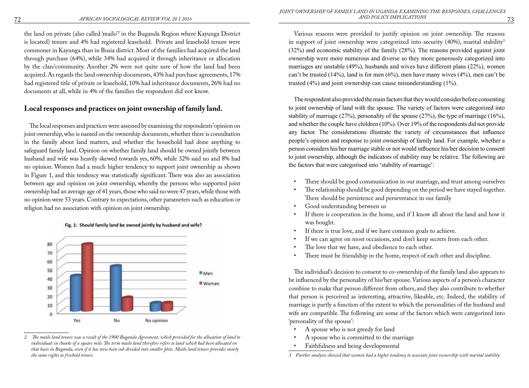the land on private (also called 'mailo'2 in the Buganda Region where Kayunga District is located) tenure and 4% had registered leasehold. Private and leasehold tenure were commoner in Kayunga than in Busia district. Most of the families had acquired the land through purchase (64%), while 34% had acquired it through inheritance or allocation by the clan/community. Another 2% were not quite sure of how the land had been acquired. As regards the land ownership documents, 43% had purchase agreements, 17% had registered title of private or leasehold, 10% had inheritance documents, 26% had no documents at all, while in 4% of the families the respondent did not know.

# **Local responses and practices on joint ownership of family land.**

The local responses and practices were assessed by examining the respondents' opinion on joint ownership, who is named on the ownership documents, whether there is consultation in the family about land matters, and whether the household had done anything to safeguard family land. Opinion on whether family land should be owned jointly between husband and wife was heavily skewed towards yes, 60%, while 32% said no and 8% had no opinion. Women had a much higher tendency to support joint ownership as shown in Figure 1, and this tendency was statistically significant. There was also an association between age and opinion on joint ownership, whereby the persons who supported joint ownership had an average age of 41 years, those who said no were 47 years, while those with no opinion were 53 years. Contrary to expectations, other parameters such as education or religion had no association with opinion on joint ownership.



Fig. 1: Should family land be owned jointly by husband and wife?

Various reasons were provided to justify opinion on joint ownership. The reasons in support of joint ownership were categorized into security  $(40\%)$ , marital stability<sup>3</sup> (32%) and economic stability of the family (28%). The reasons provided against joint ownership were more numerous and diverse so they more generously categorized into marriages are unstable (49%), husbands and wives have different plans (22%), women can't be trusted (14%), land is for men (6%), men have many wives (4%), men can't be trusted (4%) and joint ownership can cause misunderstanding (1%).

The respondent also provided the main factors that they would consider before consenting to joint ownership of land with the spouse. The variety of factors were categorized into stability of marriage (27%), personality of the spouse (27%), the type of marriage (16%), and whether the couple have children (10%). Over 19% of the respondents did not provide any factor. The considerations illustrate the variety of circumstances that influence people's opinion and response to joint ownership of family land. For example, whether a person considers his/her marriage stable or not would influence his/her decision to consent to joint ownership, although the indicators of stability may be relative. The following are the factors that were categorised into 'stability of marriage':

- There should be good communication in our marriage, and trust among ourselves
- The relationship should be good depending on the period we have stayed together. There should be persistence and perseverance in our family
- Good understanding between us
- If there is cooperation in the home, and if I know all about the land and how it was bought.
- If there is true love, and if we have common goals to achieve.
- If we can agree on most occasions, and don't keep secrets from each other.
- The love that we have, and obedience to each other.
- There must be friendship in the home, respect of each other and discipline.

The individual's decision to consent to co-ownership of the family land also appears to be influenced by the personality of his/her spouse. Various aspects of a person's character combine to make that person different from others, and they also contribute to whether that person is perceived as interesting, attractive, likeable, etc. Indeed, the stability of marriage is partly a function of the extent to which the personalities of the husband and wife are compatible. The following are some of the factors which were categorized into 'personality of the spouse':

- A spouse who is not greedy for land
- A spouse who is committed to the marriage
- Faithfulness and being developmental

*<sup>2</sup> The mailo land tenure was a result of the 1900 Buganda Agreement, which provided for the allocation of land to individuals in chunks of a square mile. The term mailo land therefore refers to land which had been allocated on that basis in Buganda, even if it has now been sub divided into smaller plots. Mailo land tenure provides nearly the same rights as freehold tenure.* 

*<sup>3</sup> Further analysis showed that women had a higher tendency to associate joint ownership with marital stability*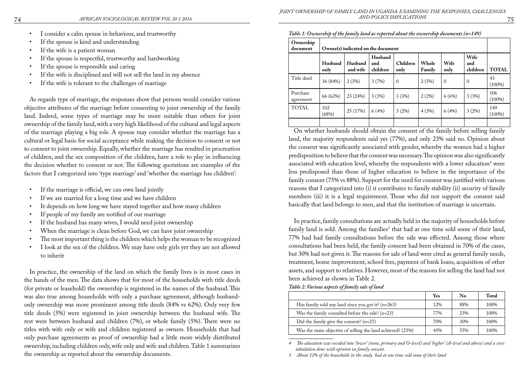- I consider a calm spouse in behaviour, and trustworthy
- If the spouse is kind and understanding
- If the wife is a patient woman
- If the spouse is respectful, trustworthy and hardworking
- If the spouse is responsible and caring
- If the wife is disciplined and will not sell the land in my absence
- If the wife is tolerant to the challenges of marriage

As regards type of marriage, the responses show that persons would consider various objective attributes of the marriage before consenting to joint ownership of the family land. Indeed, some types of marriage may be more suitable than others for joint ownership of the family land, with a very high likelihood of the cultural and legal aspects of the marriage playing a big role. A spouse may consider whether the marriage has a cultural or legal basis for social acceptance while making the decision to consent or not to consent to joint ownership. Equally, whether the marriage has resulted in procreation of children, and the sex composition of the children, have a role to play in influencing the decision whether to consent or not. The following quotations are examples of the factors that I categorized into 'type marriage' and 'whether the marriage has children':

- If the marriage is official, we can own land jointly
- If we are married for a long time and we have children
- It depends on how long we have stayed together and how many children
- If people of my family are notified of our marriage
- If the husband has many wives, I would need joint ownership
- When the marriage is clean before God, we can have joint ownership
- The most important thing is the children which helps the woman to be recognized
- I look at the sex of the children. We may have only girls yet they are not allowed to inherit

In practice, the ownership of the land on which the family lives is in most cases in the hands of the men. The data shows that for most of the households with title deeds (for private or leasehold) the ownership is registered in the names of the husband. This was also true among households with only a purchase agreement, although husbandonly ownership was more prominent among title deeds (84% vs 62%). Only very few title deeds (5%) were registered in joint ownership between the husband wife. The rest were between husband and children (7%), or whole family (5%). There were no titles with wife only or wife and children registered as owners. Households that had only purchase agreements as proof of ownership had a little more widely distributed ownership, including children only, wife only and wife and children. Table 1 summarizes the ownership as reported about the ownership documents.

| Ownership<br>document | Owner(s) indicated on the document |                     |                            |                  |                 |              |                         |                  |
|-----------------------|------------------------------------|---------------------|----------------------------|------------------|-----------------|--------------|-------------------------|------------------|
|                       | Husband<br>only                    | Husband<br>and wife | Husband<br>and<br>children | Children<br>only | Whole<br>Family | Wife<br>only | Wife<br>and<br>children | <b>TOTAL</b>     |
| Title deed            | 36 (84%)                           | 2(5%)               | 3(7%)                      | $\mathbf{0}$     | 2(5%)           | $\Omega$     | $\mathbf{0}$            | 43<br>$(100\%)$  |
| Purchase<br>agreement | 66 (62%)                           | 23 (24%)            | 3(3%)                      | 3(3%)            | 2(2%)           | 6(6%)        | 3(3%)                   | 106<br>$(100\%)$ |
| <b>TOTAL</b>          | 102<br>(68%)                       | 25 (17%)            | 6(4%)                      | 3(2%)            | 4(3%)           | 6(4%)        | 3(2%)                   | 149<br>$(100\%)$ |
|                       |                                    |                     |                            |                  |                 |              |                         |                  |

*Table 1: Ownership of the family land as reported about the ownership documents (n=149)*

On whether husbands should obtain the consent of the family before selling family land, the majority respondents said yes (77%), and only 23% said no. Opinion about the consent was significantly associated with gender, whereby the women had a higher predisposition to believe that the consent was necessary. The opinion was also significantly associated with education level, whereby the respondents with a lower education<sup>4</sup> were less predisposed than those of higher education to believe in the importance of the family consent (75% vs 88%). Support for the need for consent was justified with various reasons that I categorized into (i) it contributes to family stability (ii) security of family members (iii) it is a legal requirement. Those who did not support the consent said basically that land belongs to men, and that the institution of marriage is uncertain.

In practice, family consultations are actually held in the majority of households before  $f$ amily land is sold. Among the families $^5$  that had at one time sold some of their land, 77% had had family consultations before the sale was effected. Among those where consultations had been held, the family consent had been obtained in 70% of the cases, but 30% had not given it. The reasons for sale of land were cited as general family needs, treatment, home improvement, school fees, payment of bank loans, acquisition of other assets, and support to relatives. However, most of the reasons for selling the land had not been achieved as shown in Table 2.

*Table 2: Various aspects of family sale of land*

|                                                            | Yes | $\bf No$ | <b>Total</b> |
|------------------------------------------------------------|-----|----------|--------------|
| Has family sold any land since you got it? $(n=263)$       | 12% | 88%      | 100%         |
| Was the family consulted before the sale? $(n=23)$         | 77% | 23%      | 100%         |
| Did the family give the consent? $(n=23)$                  | 70% | 30%      | 100%         |
| Was the main objective of selling the land achieved? (23%) | 45% | 55%      | 100%         |

*4 The education was recoded into 'lower' (none, primary and O-level) and 'higher' (A-level and above) and a cross tabulation done with opinion on family consent.*

*5 About 12% of the households in the study had at one time sold some of their land*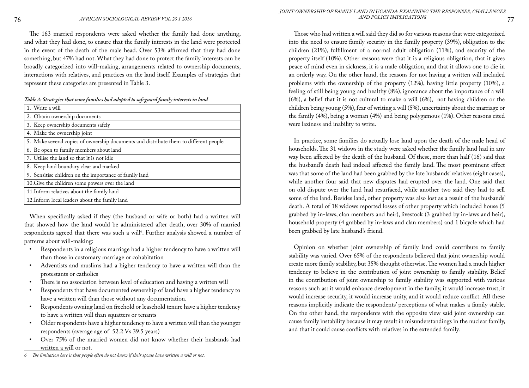The 163 married respondents were asked whether the family had done anything, and what they had done, to ensure that the family interests in the land were protected in the event of the death of the male head. Over 53% affirmed that they had done something, but 47% had not. What they had done to protect the family interests can be broadly categorized into will-making, arrangements related to ownership documents, interactions with relatives, and practices on the land itself. Examples of strategies that represent these categories are presented in Table 3.

*Table 3: Strategies that some families had adopted to safeguard family interests in land*

| 1. Write a will                                                                       |
|---------------------------------------------------------------------------------------|
| 2. Obtain ownership documents                                                         |
| 3. Keep ownership documents safely                                                    |
| 4. Make the ownership joint                                                           |
| 5. Make several copies of ownership documents and distribute them to different people |
| 6. Be open to family members about land                                               |
| 7. Utilise the land so that it is not idle                                            |
| 8. Keep land boundary clear and marked                                                |
| 9. Sensitise children on the importance of family land                                |
| 10. Give the children some powers over the land                                       |
| 11. Inform relatives about the family land                                            |
| 12. Inform local leaders about the family land                                        |

When specifically asked if they (the husband or wife or both) had a written will that showed how the land would be administered after death, over 30% of married respondents agreed that there was such a will<sup>6</sup>. Further analysis showed a number of patterns about will-making:

- Respondents in a religious marriage had a higher tendency to have a written will than those in customary marriage or cohabitation
- Adventists and muslims had a higher tendency to have a written will than the protestants or catholics
- There is no association between level of education and having a written will
- Respondents that have documented ownership of land have a higher tendency to have a written will than those without any documentation.
- Respondents owning land on freehold or leasehold tenure have a higher tendency to have a written will than squatters or tenants
- Older respondents have a higher tendency to have a written will than the younger respondents (average age of 52.2 Vs 39.5 years)
- Over 75% of the married women did not know whether their husbands had written a will or not.
- *6 The limitation here is that people often do not know if their spouse have written a will or not.*

Those who had written a will said they did so for various reasons that were categorized into the need to ensure family security in the family property (39%), obligation to the children (21%), fulfillment of a normal adult obligation (11%), and security of the property itself (10%). Other reasons were that it is a religious obligation, that it gives peace of mind even in sickness, it is a male obligation, and that it allows one to die in an orderly way. On the other hand, the reasons for not having a written will included problems with the ownership of the property (12%), having little property (10%), a feeling of still being young and healthy (8%), ignorance about the importance of a will (6%), a belief that it is not cultural to make a will (6%), not having children or the children being young (5%), fear of writing a will (5%), uncertainty about the marriage or the family (4%), being a woman (4%) and being polygamous (1%). Other reasons cited were laziness and inability to write.

In practice, some families do actually lose land upon the death of the male head of households. The 31 widows in the study were asked whether the family land had in any way been affected by the death of the husband. Of these, more than half (16) said that the husband's death had indeed affected the family land. The most prominent effect was that some of the land had been grabbed by the late husbands' relatives (eight cases), while another four said that new disputes had erupted over the land. One said that on old dispute over the land had resurfaced, while another two said they had to sell some of the land. Besides land, other property was also lost as a result of the husbands' death. A total of 18 widows reported losses of other property which included house (5 grabbed by in-laws, clan members and heir), livestock (3 grabbed by in-laws and heir), household property (4 grabbed by in-laws and clan members) and 1 bicycle which had been grabbed by late husband's friend.

Opinion on whether joint ownership of family land could contribute to family stability was varied. Over 65% of the respondents believed that joint ownership would create more family stability, but 35% thought otherwise. The women had a much higher tendency to believe in the contribution of joint ownership to family stability. Belief in the contribution of joint ownership to family stability was supported with various reasons such as: it would enhance development in the family, it would increase trust, it would increase security, it would increase unity, and it would reduce conflict. All these reasons implicitly indicate the respondents' perceptions of what makes a family stable. On the other hand, the respondents with the opposite view said joint ownership can cause family instability because it may result in misunderstandings in the nuclear family, and that it could cause conflicts with relatives in the extended family.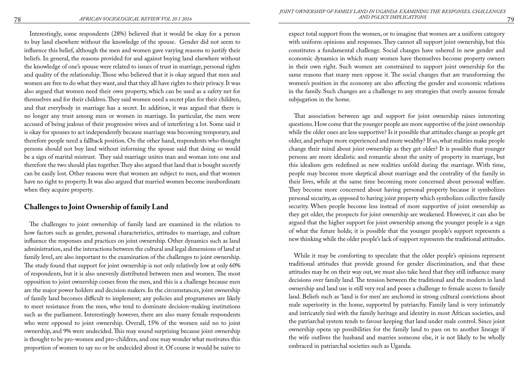Interestingly, some respondents (28%) believed that it would be okay for a person to buy land elsewhere without the knowledge of the spouse. Gender did not seem to influence this belief, although the men and women gave varying reasons to justify their beliefs. In general, the reasons provided for and against buying land elsewhere without the knowledge of one's spouse were related to issues of trust in marriage, personal rights and quality of the relationship. Those who believed that it is okay argued that men and women are free to do what they want, and that they all have rights to their privacy. It was also argued that women need their own property, which can be used as a safety net for themselves and for their children. They said women need a secret plan for their children, and that everybody in marriage has a secret. In addition, it was argued that there is no longer any trust among men or women in marriage. In particular, the men were accused of being jealous of their progressive wives and of interfering a lot. Some said it is okay for spouses to act independently because marriage was becoming temporary, and therefore people need a fallback position. On the other hand, respondents who thought persons should not buy land without informing the spouse said that doing so would be a sign of marital mistrust. They said marriage unites man and woman into one and therefore the two should plan together. They also argued that land that is bought secretly can be easily lost. Other reasons were that women are subject to men, and that women have no right to property. It was also argued that married women become insubordinate when they acquire property.

## **Challenges to Joint Ownership of family Land**

The challenges to joint ownership of family land are examined in the relation to how factors such as gender, personal characteristics, attitudes to marriage, and culture influence the responses and practices on joint ownership. Other dynamics such as land administration, and the interactions between the cultural and legal dimensions of land at family level, are also important to the examination of the challenges to joint ownership. The study found that support for joint ownership is not only relatively low at only 60% of respondents, but it is also unevenly distributed between men and women. The most opposition to joint ownership comes from the men, and this is a challenge because men are the major power holders and decision makers. In the circumstances, joint ownership of family land becomes difficult to implement; any policies and programmes are likely to meet resistance from the men, who tend to dominate decision-making institutions such as the parliament. Interestingly however, there are also many female respondents who were opposed to joint ownership. Overall, 15% of the women said no to joint ownership, and 9% were undecided. This may sound surprising because joint ownership is thought to be pro-women and pro-children, and one may wonder what motivates this proportion of women to say no or be undecided about it. Of course it would be naïve to

expect total support from the women, or to imagine that women are a uniform category with uniform opinions and responses. They cannot all support joint ownership, but this constitutes a fundamental challenge. Social changes have ushered in new gender and economic dynamics in which many women have themselves become property owners in their own right. Such women are constrained to support joint ownership for the same reasons that many men oppose it. The social changes that are transforming the women's position in the economy are also affecting the gender and economic relations in the family. Such changes are a challenge to any strategies that overly assume female subjugation in the home.

That association between age and support for joint ownership raises interesting questions. How come that the younger people are more supportive of the joint ownership while the older ones are less supportive? Is it possible that attitudes change as people get older, and perhaps more experienced and more wealthy? If so, what realities make people change their mind about joint ownership as they get older? It is possible that younger persons are more idealistic and romantic about the unity of property in marriage, but this idealism gets redefined as new realities unfold during the marriage. With time, people may become more skeptical about marriage and the centrality of the family in their lives, while at the same time becoming more concerned about personal welfare. They become more concerned about having personal property because it symbolizes personal security, as opposed to having joint property which symbolizes collective family security. When people become less instead of more supportive of joint ownership as they get older, the prospects for joint ownership are weakened. However, it can also be argued that the higher support for joint ownership among the younger people is a sign of what the future holds; it is possible that the younger people's support represents a new thinking while the older people's lack of support represents the traditional attitudes.

While it may be comforting to speculate that the older people's opinions represent traditional attitudes that provide ground for gender discrimination, and that these attitudes may be on their way out, we must also take heed that they still influence many decisions over family land. The tension between the traditional and the modern in land ownership and land use is still very real and poses a challenge to female access to family land. Beliefs such as 'land is for men' are anchored in strong cultural convictions about male superiority in the home, supported by patriarchy. Family land is very intimately and intricately tied with the family heritage and identity in most African societies, and the patriarchal system tends to favour keeping that land under male control. Since joint ownership opens up possibilities for the family land to pass on to another lineage if the wife outlives the husband and marries someone else, it is not likely to be wholly embraced in patriarchal societies such as Uganda.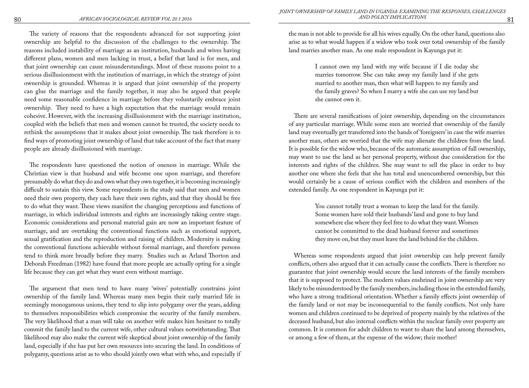The variety of reasons that the respondents advanced for not supporting joint ownership are helpful to the discussion of the challenges to the ownership. The reasons included instability of marriage as an institution, husbands and wives having different plans, women and men lacking in trust, a belief that land is for men, and that joint ownership can cause misunderstandings. Most of these reasons point to a serious disillusionment with the institution of marriage, in which the strategy of joint ownership is grounded. Whereas it is argued that joint ownership of the property can glue the marriage and the family together, it may also be argued that people need some reasonable confidence in marriage before they voluntarily embrace joint ownership. They need to have a high expectation that the marriage would remain cohesive. However, with the increasing disillusionment with the marriage institution, coupled with the beliefs that men and women cannot be trusted, the society needs to rethink the assumptions that it makes about joint ownership. The task therefore is to find ways of promoting joint ownership of land that take account of the fact that many people are already disillusioned with marriage.

The respondents have questioned the notion of oneness in marriage. While the Christian view is that husband and wife become one upon marriage, and therefore presumably do what they do and own what they own together, it is becoming increasingly difficult to sustain this view. Some respondents in the study said that men and women need their own property, they each have their own rights, and that they should be free to do what they want. These views manifest the changing perceptions and functions of marriage, in which individual interests and rights are increasingly taking centre stage. Economic considerations and personal material gain are now an important feature of marriage, and are overtaking the conventional functions such as emotional support, sexual gratification and the reproduction and raising of children. Modernity is making the conventional functions achievable without formal marriage, and therefore persons tend to think more broadly before they marry. Studies such as Arland Thorton and Deborah Freedman (1982) have found that more people are actually opting for a single life because they can get what they want even without marriage.

The argument that men tend to have many 'wives' potentially constrains joint ownership of the family land. Whereas many men begin their early married life in seemingly monogamous unions, they tend to slip into polygamy over the years, adding to themselves responsibilities which compromise the security of the family members. The very likelihood that a man will take on another wife makes him hesitant to totally commit the family land to the current wife, other cultural values notwithstanding. That likelihood may also make the current wife skeptical about joint ownership of the family land, especially if she has put her own resources into securing the land. In conditions of polygamy, questions arise as to who should jointly own what with who, and especially if

the man is not able to provide for all his wives equally. On the other hand, questions also arise as to what would happen if a widow who took over total ownership of the family land marries another man. As one male respondent in Kayunga put it:

> I cannot own my land with my wife because if I die today she marries tomorrow. She can take away my family land if she gets married to another man, then what will happen to my family and the family graves? So when I marry a wife she can use my land but she cannot own it.

There are several ramifications of joint ownership, depending on the circumstances of any particular marriage. While some men are worried that ownership of the family land may eventually get transferred into the hands of 'foreigners' in case the wife marries another man, others are worried that the wife may alienate the children from the land. It is possible for the widow who, because of the automatic assumption of full ownership, may want to use the land as her personal property, without due consideration for the interests and rights of the children. She may want to sell the place in order to buy another one where she feels that she has total and unencumbered ownership, but this would certainly be a cause of serious conflict with the children and members of the extended family. As one respondent in Kayunga put it:

> You cannot totally trust a woman to keep the land for the family. Some women have sold their husbands' land and gone to buy land somewhere else where they feel free to do what they want. Women cannot be committed to the dead husband forever and sometimes they move on, but they must leave the land behind for the children.

Whereas some respondents argued that joint ownership can help prevent family conflicts, others also argued that it can actually cause the conflicts. There is therefore no guarantee that joint ownership would secure the land interests of the family members that it is supposed to protect. The modern values enshrined in joint ownership are very likely to be misunderstood by the family members, including those in the extended family, who have a strong traditional orientation. Whether a family effects joint ownership of the family land or not may be inconsequential to the family conflicts. Not only have women and children continued to be deprived of property mainly by the relatives of the deceased husband, but also internal conflicts within the nuclear family over property are common. It is common for adult children to want to share the land among themselves, or among a few of them, at the expense of the widow; their mother!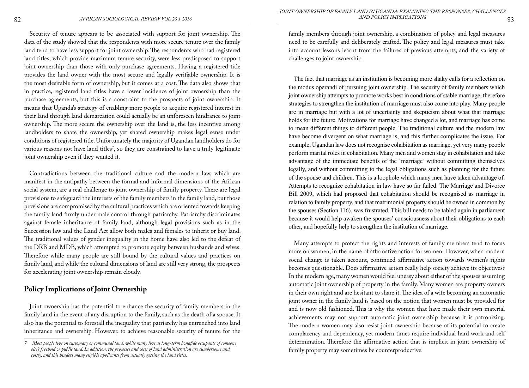Security of tenure appears to be associated with support for joint ownership. The data of the study showed that the respondents with more secure tenure over the family land tend to have less support for joint ownership. The respondents who had registered land titles, which provide maximum tenure security, were less predisposed to support joint ownership than those with only purchase agreements. Having a registered title provides the land owner with the most secure and legally verifiable ownership. It is the most desirable form of ownership, but it comes at a cost. The data also shows that in practice, registered land titles have a lower incidence of joint ownership than the purchase agreements, but this is a constraint to the prospects of joint ownership. It means that Uganda's strategy of enabling more people to acquire registered interest in their land through land demarcation could actually be an unforeseen hindrance to joint ownership. The more secure the ownership over the land is, the less incentive among landholders to share the ownership, yet shared ownership makes legal sense under conditions of registered title. Unfortunately the majority of Ugandan landholders do for various reasons not have land titles<sup>7</sup>, so they are constrained to have a truly legitimate joint ownership even if they wanted it.

Contradictions between the traditional culture and the modern law, which are manifest in the antipathy between the formal and informal dimensions of the African social system, are a real challenge to joint ownership of family property. There are legal provisions to safeguard the interests of the family members in the family land, but those provisions are compromised by the cultural practices which are oriented towards keeping the family land firmly under male control through patriarchy. Patriarchy discriminates against female inheritance of family land, although legal provisions such as in the Succession law and the Land Act allow both males and females to inherit or buy land. The traditional values of gender inequality in the home have also led to the defeat of the DRB and MDB, which attempted to promote equity between husbands and wives. Therefore while many people are still bound by the cultural values and practices on family land, and while the cultural dimensions of land are still very strong, the prospects for accelerating joint ownership remain cloudy.

## **Policy Implications of Joint Ownership**

Joint ownership has the potential to enhance the security of family members in the family land in the event of any disruption to the family, such as the death of a spouse. It also has the potential to forestall the inequality that patriarchy has entrenched into land inheritance and ownership. However, to achieve reasonable security of tenure for the

family members through joint ownership, a combination of policy and legal measures need to be carefully and deliberately crafted. The policy and legal measures must take into account lessons learnt from the failures of previous attempts, and the variety of challenges to joint ownership.

The fact that marriage as an institution is becoming more shaky calls for a reflection on the modus operandi of pursuing joint ownership. The security of family members which joint ownership attempts to promote works best in conditions of stable marriage, therefore strategies to strengthen the institution of marriage must also come into play. Many people are in marriage but with a lot of uncertainty and skepticism about what that marriage holds for the future. Motivations for marriage have changed a lot, and marriage has come to mean different things to different people. The traditional culture and the modern law have become divergent on what marriage is, and this further complicates the issue. For example, Ugandan law does not recognise cohabitation as marriage, yet very many people perform marital roles in cohabitation. Many men and women stay in cohabitation and take advantage of the immediate benefits of the 'marriage' without committing themselves legally, and without committing to the legal obligations such as planning for the future of the spouse and children. This is a loophole which many men have taken advantage of. Attempts to recognize cohabitation in law have so far failed. The Marriage and Divorce Bill 2009, which had proposed that cohabitation should be recognised as marriage in relation to family property, and that matrimonial property should be owned in common by the spouses (Section 116), was frustrated. This bill needs to be tabled again in parliament because it would help awaken the spouses' consciousness about their obligations to each other, and hopefully help to strengthen the institution of marriage.

Many attempts to protect the rights and interests of family members tend to focus more on women, in the name of affirmative action for women. However, when modern social change is taken account, continued affirmative action towards women's rights becomes questionable. Does affirmative action really help society achieve its objectives? In the modern age, many women would feel uneasy about either of the spouses assuming automatic joint ownership of property in the family. Many women are property owners in their own right and are hesitant to share it. The idea of a wife becoming an automatic joint owner in the family land is based on the notion that women must be provided for and is now old fashioned. This is why the women that have made their own material achievements may not support automatic joint ownership because it is patronizing. The modern women may also resist joint ownership because of its potential to create complacency and dependency, yet modern times require individual hard work and self determination. Therefore the affirmative action that is implicit in joint ownership of family property may sometimes be counterproductive.

*<sup>7</sup> Most people live on customary or communal land, while many live as long-term bonafide occupants of someone else's freehold or public land. In addition, the processes and costs of land administration are cumbersome and costly, and this hinders many eligible applicants from actually getting the land titles.*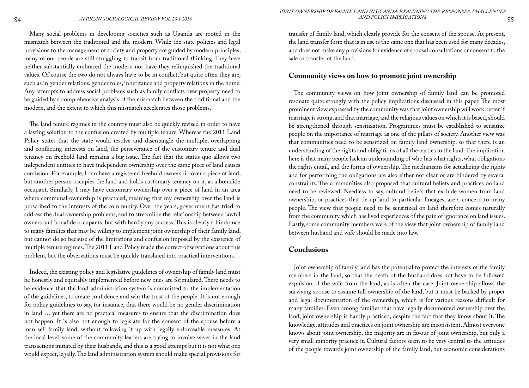Many social problems in developing societies such as Uganda are rooted in the mismatch between the traditional and the modern. While the state policies and legal provisions to the management of society and property are guided by modern principles, many of our people are still struggling to transit from traditional thinking. They have neither substantially embraced the modern nor have they relinquished the traditional values. Of course the two do not always have to be in conflict, but quite often they are, such as in gender relations, gender roles, inheritance and property relations in the home. Any attempts to address social problems such as family conflicts over property need to be guided by a comprehensive analysis of the mismatch between the traditional and the modern, and the extent to which this mismatch accelerates those problems.

The land tenure regimes in the country must also be quickly revised in order to have a lasting solution to the confusion created by multiple tenure. Whereas the 2011 Land Policy states that the state would resolve and disentangle the multiple, overlapping and conflicting interests on land, the perseverance of the customary tenure and dual tenancy on freehold land remains a big issue. The fact that the status quo allows two independent entities to have independent ownership over the same piece of land causes confusion. For example, I can have a registered freehold ownership over a piece of land, but another person occupies the land and holds customary tenancy on it, as a bonafide occupant. Similarly, I may have customary ownership over a piece of land in an area where communal ownership is practiced, meaning that my ownership over the land is proscribed to the interests of the community. Over the years, government has tried to address the dual ownership problems, and to streamline the relationship between lawful owners and bonafide occupants, but with hardly any success. This is clearly a hindrance to many families that may be willing to implement joint ownership of their family land, but cannot do so because of the limitations and confusion imposed by the existence of multiple tenure regimes. The 2011 Land Policy made the correct observations about this problem, but the observations must be quickly translated into practical interventions.

Indeed, the existing policy and legislative guidelines of ownership of family land must be honestly and equitably implemented before new ones are formulated. There needs to be evidence that the land administration system is committed to the implementation of the guidelines, to create confidence and win the trust of the people. It is not enough for policy guidelines to say, for instance, that there would be no gender discrimination in land … yet there are no practical measures to ensure that the discrimination does not happen. It is also not enough to legislate for the consent of the spouse before a man sell family land, without following it up with legally enforceable measures. At the local level, some of the community leaders are trying to involve wives in the land transactions initiated by their husbands, and this is a good attempt but it is not what one would expect, legally. The land administration system should make special provisions for transfer of family land, which clearly provide for the consent of the spouse. At present, the land transfer form that is in use is the same one that has been used for many decades, and does not make any provisions for evidence of spousal consultations or consent to the sale or transfer of the land.

## **Community views on how to promote joint ownership**

The community views on how joint ownership of family land can be promoted resonate quite strongly with the policy implications discussed in this paper. The most prominent view expressed by the community was that joint ownership will work better if marriage is strong, and that marriage, and the religious values on which it is based, should be strengthened through sensitization. Programmes must be established to sensitize people on the importance of marriage as one of the pillars of society. Another view was that communities need to be sensitized on family land ownership, so that there is an understanding of the rights and obligations of all the parties to the land. The implication here is that many people lack an understanding of who has what rights, what obligations the rights entail, and the forms of ownership. The mechanisms for actualizing the rights and for performing the obligations are also either not clear or are hindered by several constraints. The communities also proposed that cultural beliefs and practices on land need to be reviewed. Needless to say, cultural beliefs that exclude women from land ownership, or practices that tie up land to particular lineages, are a concern to many people. The view that people need to be sensitized on land therefore comes naturally from the community, which has lived experiences of the pain of ignorance on land issues. Lastly, some community members were of the view that joint ownership of family land between husband and wife should be made into law.

## **Conclusions**

Joint ownership of family land has the potential to protect the interests of the family members in the land, so that the death of the husband does not have to be followed expulsion of the wife from the land, as is often the case. Joint ownership allows the surviving spouse to assume full ownership of the land, but it must be backed by proper and legal documentation of the ownership, which is for various reasons difficult for many families. Even among families that have legally documented ownership over the land, joint ownership is hardly practiced, despite the fact that they know about it. The knowledge, attitudes and practices on joint ownership are inconsistent. Almost everyone knows about joint ownership, the majority are in favour of joint ownership, but only a very small minority practice it. Cultural factors seem to be very central to the attitudes of the people towards joint ownership of the family land, but economic considerations